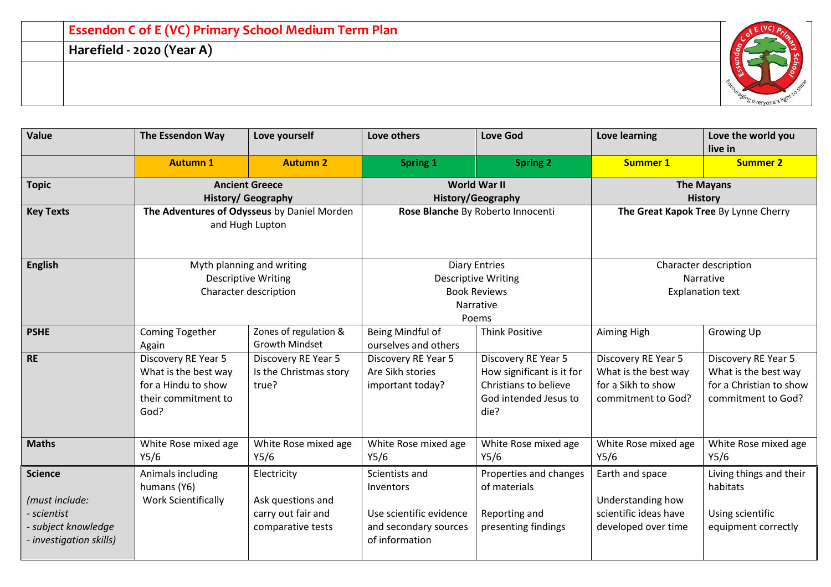| <b>Essendon C of E (VC) Primary School Medium Term Plan</b> |  |
|-------------------------------------------------------------|--|
| Harefield - 2020 (Year A)                                   |  |
|                                                             |  |
|                                                             |  |

| <b>Value</b>                                                                                  | <b>The Essendon Way</b>                                                                           | Love yourself                                                                    | Love others                                                                                       | <b>Love God</b>                                                                                            | Love learning                                                                           | Love the world you<br>live in                                                                |
|-----------------------------------------------------------------------------------------------|---------------------------------------------------------------------------------------------------|----------------------------------------------------------------------------------|---------------------------------------------------------------------------------------------------|------------------------------------------------------------------------------------------------------------|-----------------------------------------------------------------------------------------|----------------------------------------------------------------------------------------------|
|                                                                                               | <b>Autumn 1</b>                                                                                   | <b>Autumn 2</b>                                                                  | <b>Spring 1</b>                                                                                   | <b>Spring 2</b>                                                                                            | <b>Summer 1</b>                                                                         | <b>Summer 2</b>                                                                              |
| <b>Topic</b>                                                                                  | <b>Ancient Greece</b><br><b>History/ Geography</b>                                                |                                                                                  | <b>World War II</b><br><b>History/Geography</b>                                                   |                                                                                                            | <b>The Mayans</b><br><b>History</b>                                                     |                                                                                              |
| <b>Key Texts</b>                                                                              | The Adventures of Odysseus by Daniel Morden<br>and Hugh Lupton                                    |                                                                                  | Rose Blanche By Roberto Innocenti                                                                 |                                                                                                            | The Great Kapok Tree By Lynne Cherry                                                    |                                                                                              |
| <b>English</b>                                                                                |                                                                                                   | Myth planning and writing<br><b>Descriptive Writing</b><br>Character description | <b>Diary Entries</b><br><b>Descriptive Writing</b><br><b>Book Reviews</b><br>Narrative<br>Poems   |                                                                                                            | Character description<br>Narrative<br><b>Explanation text</b>                           |                                                                                              |
| <b>PSHE</b>                                                                                   | Coming Together<br>Again                                                                          | Zones of regulation &<br><b>Growth Mindset</b>                                   | Being Mindful of<br>ourselves and others                                                          | <b>Think Positive</b>                                                                                      | Aiming High                                                                             | Growing Up                                                                                   |
| <b>RE</b>                                                                                     | Discovery RE Year 5<br>What is the best way<br>for a Hindu to show<br>their commitment to<br>God? | Discovery RE Year 5<br>Is the Christmas story<br>true?                           | Discovery RE Year 5<br>Are Sikh stories<br>important today?                                       | Discovery RE Year 5<br>How significant is it for<br>Christians to believe<br>God intended Jesus to<br>die? | Discovery RE Year 5<br>What is the best way<br>for a Sikh to show<br>commitment to God? | Discovery RE Year 5<br>What is the best way<br>for a Christian to show<br>commitment to God? |
| <b>Maths</b>                                                                                  | White Rose mixed age<br>Y5/6                                                                      | White Rose mixed age<br>Y5/6                                                     | White Rose mixed age<br>Y5/6                                                                      | White Rose mixed age<br>Y5/6                                                                               | White Rose mixed age<br>Y5/6                                                            | White Rose mixed age<br>Y5/6                                                                 |
| Science<br>(must include:<br>scientist<br>- subject knowledge<br><i>investigation skills)</i> | Animals including<br>humans (Y6)<br><b>Work Scientifically</b>                                    | Electricity<br>Ask questions and<br>carry out fair and<br>comparative tests      | Scientists and<br>Inventors<br>Use scientific evidence<br>and secondary sources<br>of information | Properties and changes<br>of materials<br>Reporting and<br>presenting findings                             | Earth and space<br>Understanding how<br>scientific ideas have<br>developed over time    | Living things and their<br>habitats<br>Using scientific<br>equipment correctly               |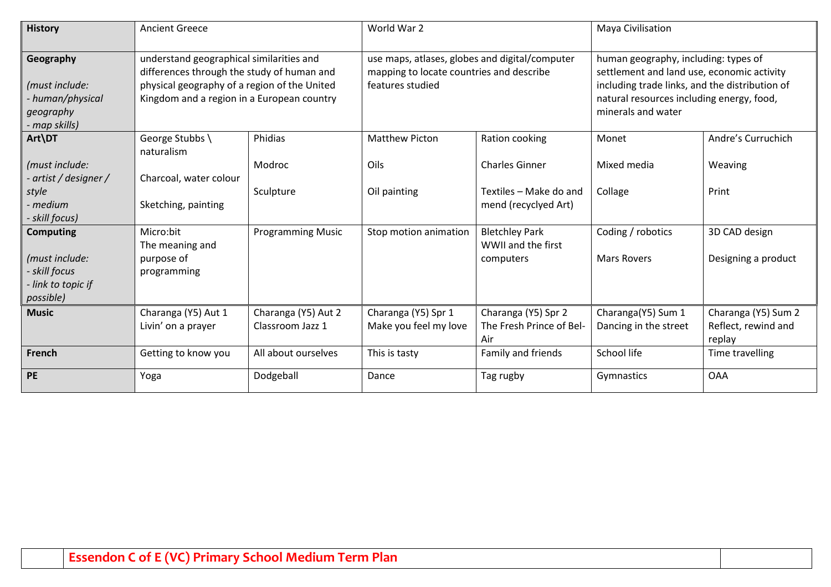| <b>History</b>                                                                | <b>Ancient Greece</b>                                                                                                                                                                |                                         | World War 2                                                                                                    |                                                        | Maya Civilisation                                                                                                                                                                                       |                                                      |
|-------------------------------------------------------------------------------|--------------------------------------------------------------------------------------------------------------------------------------------------------------------------------------|-----------------------------------------|----------------------------------------------------------------------------------------------------------------|--------------------------------------------------------|---------------------------------------------------------------------------------------------------------------------------------------------------------------------------------------------------------|------------------------------------------------------|
| Geography<br>(must include:<br>- human/physical<br>geography<br>- map skills) | understand geographical similarities and<br>differences through the study of human and<br>physical geography of a region of the United<br>Kingdom and a region in a European country |                                         | use maps, atlases, globes and digital/computer<br>mapping to locate countries and describe<br>features studied |                                                        | human geography, including: types of<br>settlement and land use, economic activity<br>including trade links, and the distribution of<br>natural resources including energy, food,<br>minerals and water |                                                      |
| Art\DT                                                                        | George Stubbs \<br>naturalism                                                                                                                                                        | Phidias                                 | <b>Matthew Picton</b>                                                                                          | Ration cooking                                         | Monet                                                                                                                                                                                                   | Andre's Curruchich                                   |
| (must include:<br>- artist / designer /                                       | Charcoal, water colour                                                                                                                                                               | Modroc                                  | Oils                                                                                                           | <b>Charles Ginner</b>                                  | Mixed media                                                                                                                                                                                             | Weaving                                              |
| style<br>- medium<br>- skill focus)                                           | Sketching, painting                                                                                                                                                                  | Sculpture                               | Oil painting                                                                                                   | Textiles - Make do and<br>mend (recyclyed Art)         | Collage                                                                                                                                                                                                 | Print                                                |
| <b>Computing</b>                                                              | Micro:bit<br>The meaning and                                                                                                                                                         | <b>Programming Music</b>                | Stop motion animation                                                                                          | <b>Bletchley Park</b><br>WWII and the first            | Coding / robotics                                                                                                                                                                                       | 3D CAD design                                        |
| (must include:<br>- skill focus<br>- link to topic if<br>possible)            | purpose of<br>programming                                                                                                                                                            |                                         |                                                                                                                | computers                                              | <b>Mars Rovers</b>                                                                                                                                                                                      | Designing a product                                  |
| <b>Music</b>                                                                  | Charanga (Y5) Aut 1<br>Livin' on a prayer                                                                                                                                            | Charanga (Y5) Aut 2<br>Classroom Jazz 1 | Charanga (Y5) Spr 1<br>Make you feel my love                                                                   | Charanga (Y5) Spr 2<br>The Fresh Prince of Bel-<br>Air | Charanga(Y5) Sum 1<br>Dancing in the street                                                                                                                                                             | Charanga (Y5) Sum 2<br>Reflect, rewind and<br>replay |
| French                                                                        | Getting to know you                                                                                                                                                                  | All about ourselves                     | This is tasty                                                                                                  | Family and friends                                     | School life                                                                                                                                                                                             | Time travelling                                      |
| <b>PE</b>                                                                     | Yoga                                                                                                                                                                                 | Dodgeball                               | Dance                                                                                                          | Tag rugby                                              | Gymnastics                                                                                                                                                                                              | <b>OAA</b>                                           |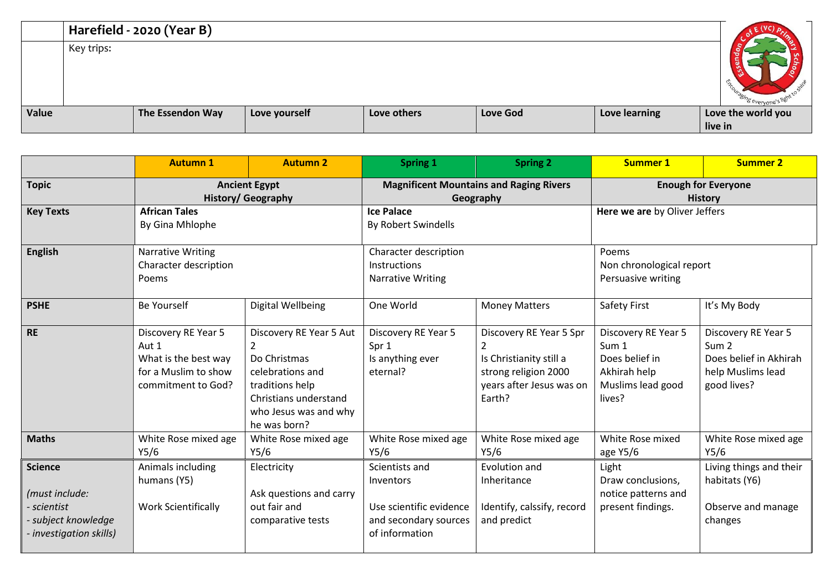|       |            | Harefield - 2020 (Year B) |               |             |                 |               |                    |
|-------|------------|---------------------------|---------------|-------------|-----------------|---------------|--------------------|
|       | Key trips: |                           |               |             |                 |               |                    |
| Value |            | The Essendon Way          | Love yourself | Love others | <b>Love God</b> | Love learning | Love the world you |
|       |            |                           |               |             |                 |               | live in            |

|                                                                                             | <b>Autumn 1</b>                                                                                    | <b>Autumn 2</b>                                                                                                                                                    | <b>Spring 1</b>                                                                                   | <b>Spring 2</b>                                                                                                                    | <b>Summer 1</b>                                                                               | <b>Summer 2</b>                                                                                       |
|---------------------------------------------------------------------------------------------|----------------------------------------------------------------------------------------------------|--------------------------------------------------------------------------------------------------------------------------------------------------------------------|---------------------------------------------------------------------------------------------------|------------------------------------------------------------------------------------------------------------------------------------|-----------------------------------------------------------------------------------------------|-------------------------------------------------------------------------------------------------------|
| <b>Topic</b>                                                                                | <b>Ancient Egypt</b><br><b>History/ Geography</b>                                                  |                                                                                                                                                                    | <b>Magnificent Mountains and Raging Rivers</b><br>Geography                                       |                                                                                                                                    | <b>Enough for Everyone</b><br><b>History</b>                                                  |                                                                                                       |
| <b>Key Texts</b>                                                                            | <b>African Tales</b><br>By Gina Mhlophe                                                            |                                                                                                                                                                    | <b>Ice Palace</b><br>By Robert Swindells                                                          |                                                                                                                                    | Here we are by Oliver Jeffers                                                                 |                                                                                                       |
| <b>English</b>                                                                              | <b>Narrative Writing</b><br>Character description<br>Poems                                         |                                                                                                                                                                    | Character description<br>Instructions<br><b>Narrative Writing</b>                                 |                                                                                                                                    | Poems<br>Non chronological report<br>Persuasive writing                                       |                                                                                                       |
| <b>PSHE</b>                                                                                 | Be Yourself                                                                                        | Digital Wellbeing                                                                                                                                                  | One World                                                                                         | <b>Money Matters</b>                                                                                                               | Safety First                                                                                  | It's My Body                                                                                          |
| <b>RE</b>                                                                                   | Discovery RE Year 5<br>Aut 1<br>What is the best way<br>for a Muslim to show<br>commitment to God? | Discovery RE Year 5 Aut<br>$\overline{2}$<br>Do Christmas<br>celebrations and<br>traditions help<br>Christians understand<br>who Jesus was and why<br>he was born? | Discovery RE Year 5<br>Spr 1<br>Is anything ever<br>eternal?                                      | Discovery RE Year 5 Spr<br>$\overline{2}$<br>Is Christianity still a<br>strong religion 2000<br>years after Jesus was on<br>Earth? | Discovery RE Year 5<br>Sum 1<br>Does belief in<br>Akhirah help<br>Muslims lead good<br>lives? | Discovery RE Year 5<br>Sum <sub>2</sub><br>Does belief in Akhirah<br>help Muslims lead<br>good lives? |
| <b>Maths</b>                                                                                | White Rose mixed age<br>Y5/6                                                                       | White Rose mixed age<br>Y5/6                                                                                                                                       | White Rose mixed age<br>Y5/6                                                                      | White Rose mixed age<br>Y5/6                                                                                                       | White Rose mixed<br>age Y5/6                                                                  | White Rose mixed age<br>Y5/6                                                                          |
| <b>Science</b><br>(must include:<br>scientist<br>subject knowledge<br>investigation skills) | Animals including<br>humans (Y5)<br><b>Work Scientifically</b>                                     | Electricity<br>Ask questions and carry<br>out fair and<br>comparative tests                                                                                        | Scientists and<br>Inventors<br>Use scientific evidence<br>and secondary sources<br>of information | Evolution and<br>Inheritance<br>Identify, calssify, record<br>and predict                                                          | Light<br>Draw conclusions,<br>notice patterns and<br>present findings.                        | Living things and their<br>habitats (Y6)<br>Observe and manage<br>changes                             |